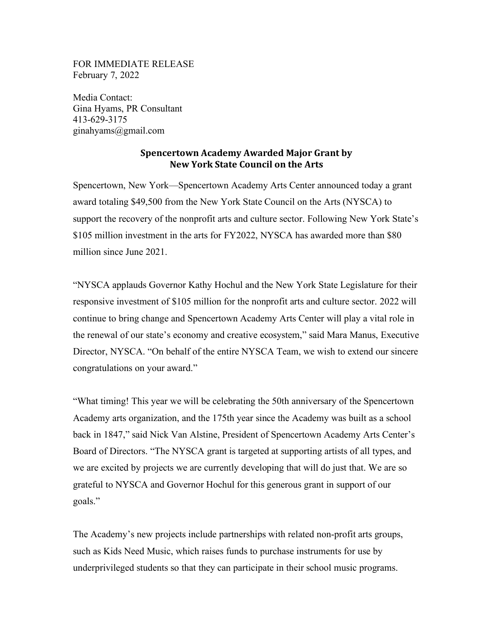FOR IMMEDIATE RELEASE February 7, 2022

Media Contact: Gina Hyams, PR Consultant 413-629-3175 ginahyams@gmail.com

## **Spencertown Academy Awarded Major Grant by New York State Council on the Arts**

Spencertown, New York—Spencertown Academy Arts Center announced today a grant award totaling \$49,500 from the New York State Council on the Arts (NYSCA) to support the recovery of the nonprofit arts and culture sector. Following New York State's \$105 million investment in the arts for FY2022, NYSCA has awarded more than \$80 million since June 2021.

"NYSCA applauds Governor Kathy Hochul and the New York State Legislature for their responsive investment of \$105 million for the nonprofit arts and culture sector. 2022 will continue to bring change and Spencertown Academy Arts Center will play a vital role in the renewal of our state's economy and creative ecosystem," said Mara Manus, Executive Director, NYSCA. "On behalf of the entire NYSCA Team, we wish to extend our sincere congratulations on your award."

"What timing! This year we will be celebrating the 50th anniversary of the Spencertown Academy arts organization, and the 175th year since the Academy was built as a school back in 1847," said Nick Van Alstine, President of Spencertown Academy Arts Center's Board of Directors. "The NYSCA grant is targeted at supporting artists of all types, and we are excited by projects we are currently developing that will do just that. We are so grateful to NYSCA and Governor Hochul for this generous grant in support of our goals."

The Academy's new projects include partnerships with related non-profit arts groups, such as Kids Need Music, which raises funds to purchase instruments for use by underprivileged students so that they can participate in their school music programs.